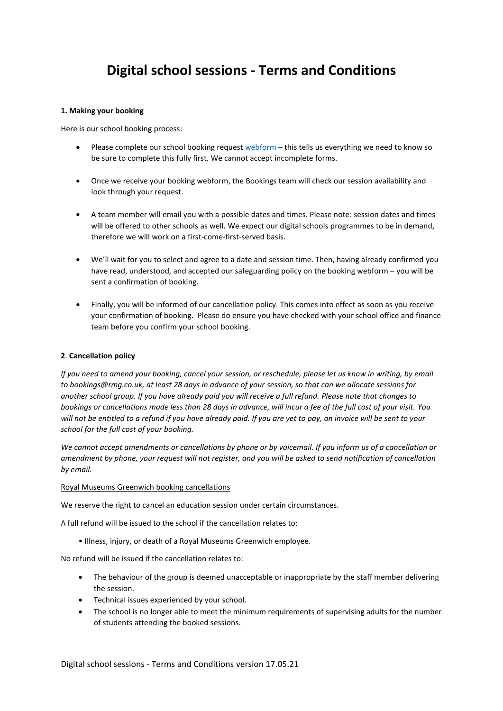# **Digital school sessions - Terms and Conditions**

## **1. Making your booking**

Here is our school booking process:

- Please complete our school booking request [webform](https://www.rmg.co.uk/schools-communities/school-visits-2020-21/booking-form) this tells us everything we need to know so be sure to complete this fully first. We cannot accept incomplete forms.
- Once we receive your booking webform, the Bookings team will check our session availability and look through your request.
- A team member will email you with a possible dates and times. Please note: session dates and times will be offered to other schools as well. We expect our digital schools programmes to be in demand, therefore we will work on a first-come-first-served basis.
- We'll wait for you to select and agree to a date and session time. Then, having already confirmed you have read, understood, and accepted our safeguarding policy on the booking webform – you will be sent a confirmation of booking.
- Finally, you will be informed of our cancellation policy. This comes into effect as soon as you receive your confirmation of booking. Please do ensure you have checked with your school office and finance team before you confirm your school booking.

## **2**. **Cancellation policy**

*If you need to amend your booking, cancel your session, or reschedule, please let us know in writing, by email to bookings@rmg.co.uk, at least 28 days in advance of your session, so that can we allocate sessions for another school group. If you have already paid you will receive a full refund. Please note that changes to bookings or cancellations made less than 28 days in advance, will incur a fee of the full cost of your visit. You will not be entitled to a refund if you have already paid. If you are yet to pay, an invoice will be sent to your school for the full cost of your booking.*

*We cannot accept amendments or cancellations by phone or by voicemail. If you inform us of a cancellation or amendment by phone, your request will not register, and you will be asked to send notification of cancellation by email.*

#### Royal Museums Greenwich booking cancellations

We reserve the right to cancel an education session under certain circumstances.

A full refund will be issued to the school if the cancellation relates to:

• Illness, injury, or death of a Royal Museums Greenwich employee.

No refund will be issued if the cancellation relates to:

- The behaviour of the group is deemed unacceptable or inappropriate by the staff member delivering the session.
- Technical issues experienced by your school.
- The school is no longer able to meet the minimum requirements of supervising adults for the number of students attending the booked sessions.